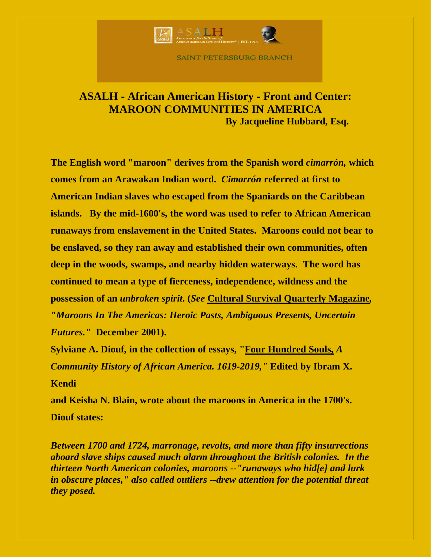

**SAINT PETERSBURG BRANCH** 

## **ASALH - African American History - Front and Center: MAROON COMMUNITIES IN AMERICA By Jacqueline Hubbard, Esq.**

**The English word "maroon" derives from the Spanish word** *cimarrón,* **which comes from an Arawakan Indian word.** *Cimarrón* **referred at first to American Indian slaves who escaped from the Spaniards on the Caribbean islands. By the mid-1600's, the word was used to refer to African American runaways from enslavement in the United States. Maroons could not bear to be enslaved, so they ran away and established their own communities, often deep in the woods, swamps, and nearby hidden waterways. The word has continued to mean a type of fierceness, independence, wildness and the possession of an** *unbroken spirit***. (***See* **Cultural Survival Quarterly Magazine***, "Maroons In The Americas: Heroic Pasts, Ambiguous Presents, Uncertain Futures."* **December 2001).**

**Sylviane A. Diouf, in the collection of essays, "Four Hundred Souls,** *A Community History of African America. 1619-2019,"* **Edited by Ibram X. Kendi**

**and Keisha N. Blain, wrote about the maroons in America in the 1700's. Diouf states:**

*Between 1700 and 1724, marronage, revolts, and more than fifty insurrections aboard slave ships caused much alarm throughout the British colonies. In the thirteen North American colonies, maroons --"runaways who hid[e] and lurk in obscure places," also called outliers --drew attention for the potential threat they posed.*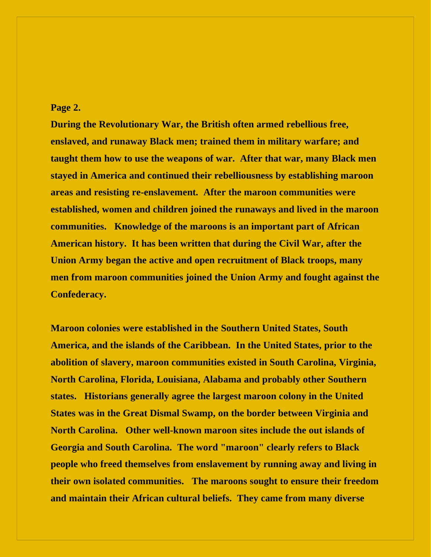## **Page 2.**

**During the Revolutionary War, the British often armed rebellious free, enslaved, and runaway Black men; trained them in military warfare; and taught them how to use the weapons of war. After that war, many Black men stayed in America and continued their rebelliousness by establishing maroon areas and resisting re-enslavement. After the maroon communities were established, women and children joined the runaways and lived in the maroon communities. Knowledge of the maroons is an important part of African American history. It has been written that during the Civil War, after the Union Army began the active and open recruitment of Black troops, many men from maroon communities joined the Union Army and fought against the Confederacy.**

**Maroon colonies were established in the Southern United States, South America, and the islands of the Caribbean. In the United States, prior to the abolition of slavery, maroon communities existed in South Carolina, Virginia, North Carolina, Florida, Louisiana, Alabama and probably other Southern states. Historians generally agree the largest maroon colony in the United States was in the Great Dismal Swamp, on the border between Virginia and North Carolina. Other well-known maroon sites include the out islands of Georgia and South Carolina. The word "maroon" clearly refers to Black people who freed themselves from enslavement by running away and living in their own isolated communities. The maroons sought to ensure their freedom and maintain their African cultural beliefs. They came from many diverse**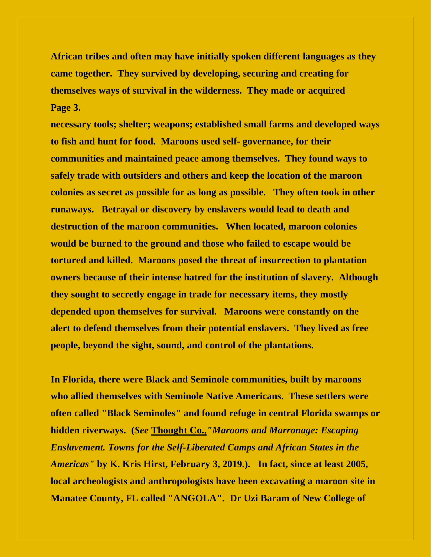**African tribes and often may have initially spoken different languages as they came together. They survived by developing, securing and creating for themselves ways of survival in the wilderness. They made or acquired Page 3.**

**necessary tools; shelter; weapons; established small farms and developed ways to fish and hunt for food. Maroons used self- governance, for their communities and maintained peace among themselves. They found ways to safely trade with outsiders and others and keep the location of the maroon colonies as secret as possible for as long as possible. They often took in other runaways. Betrayal or discovery by enslavers would lead to death and destruction of the maroon communities. When located, maroon colonies would be burned to the ground and those who failed to escape would be tortured and killed. Maroons posed the threat of insurrection to plantation owners because of their intense hatred for the institution of slavery. Although they sought to secretly engage in trade for necessary items, they mostly depended upon themselves for survival. Maroons were constantly on the alert to defend themselves from their potential enslavers. They lived as free people, beyond the sight, sound, and control of the plantations.** 

**In Florida, there were Black and Seminole communities, built by maroons who allied themselves with Seminole Native Americans. These settlers were often called "Black Seminoles" and found refuge in central Florida swamps or hidden riverways. (***See* **Thought Co.,***"Maroons and Marronage: Escaping Enslavement. Towns for the Self-Liberated Camps and African States in the Americas"* **by K. Kris Hirst, February 3, 2019.). In fact, since at least 2005, local archeologists and anthropologists have been excavating a maroon site in Manatee County, FL called "ANGOLA". Dr Uzi Baram of New College of**